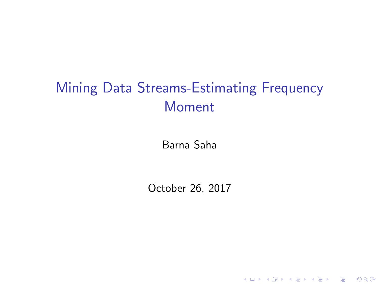# Mining Data Streams-Estimating Frequency Moment

Barna Saha

October 26, 2017

K ロ K K (P) K (E) K (E) X (E) X (P) K (P)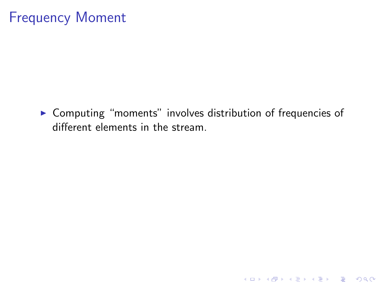▶ Computing "moments" involves distribution of frequencies of different elements in the stream.

K ロ ▶ K @ ▶ K 할 ▶ K 할 ▶ | 할 | © 9 Q @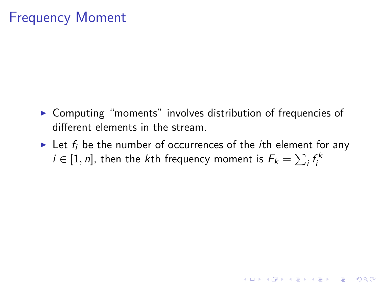- $\triangleright$  Computing "moments" involves distribution of frequencies of different elements in the stream.
- In Let  $f_i$  be the number of occurrences of the *i*th element for any  $i\in[1,n]$ , then the  $k$ th frequency moment is  $\mathcal{F}_k=\sum_i f_i^k$

**KORK ERKER ADE YOUR**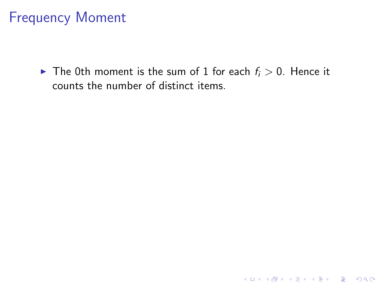$\blacktriangleright$  The 0th moment is the sum of 1 for each  $f_i > 0$ . Hence it counts the number of distinct items.

イロト イ御 トイミト イミト ニミー りんぴ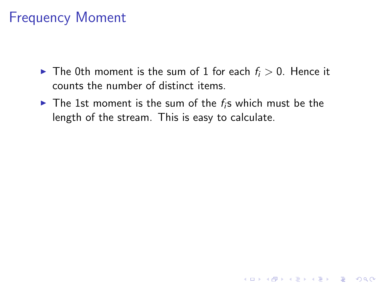- $\blacktriangleright$  The 0th moment is the sum of 1 for each  $f_i > 0$ . Hence it counts the number of distinct items.
- $\triangleright$  The 1st moment is the sum of the  $f_i$ s which must be the length of the stream. This is easy to calculate.

**K ロ ▶ K @ ▶ K 할 X X 할 X → 할 X → 9 Q Q ^**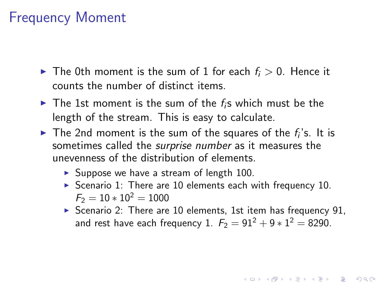- In The 0th moment is the sum of 1 for each  $f_i > 0$ . Hence it counts the number of distinct items.
- $\triangleright$  The 1st moment is the sum of the  $f_i$ s which must be the length of the stream. This is easy to calculate.
- $\blacktriangleright$  The 2nd moment is the sum of the squares of the  $f_i$ 's. It is sometimes called the surprise number as it measures the unevenness of the distribution of elements.
	- $\triangleright$  Suppose we have a stream of length 100.
	- Scenario 1: There are 10 elements each with frequency 10.  $F_2 = 10 * 10^2 = 1000$
	- $\triangleright$  Scenario 2: There are 10 elements, 1st item has frequency 91, and rest have each frequency 1.  $F_2 = 91^2 + 9 * 1^2 = 8290$ .

4 D > 4 P + 4 B + 4 B + B + 9 Q O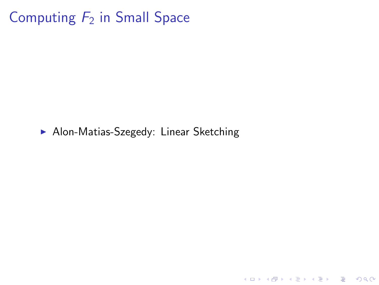# Computing  $F_2$  in Small Space

• Alon-Matias-Szegedy: Linear Sketching

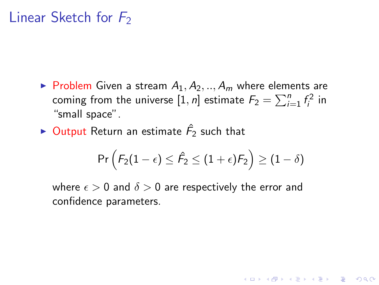- $\blacktriangleright$  Problem Given a stream  $A_1, A_2, ..., A_m$  where elements are coming from the universe  $[1,n]$  estimate  $F_2 = \sum_{i=1}^n f_i^2$  in "small space".
- $\blacktriangleright$  Output Return an estimate  $\hat{F_2}$  such that

$$
\mathsf{Pr}\left(\mathit{F}_2(1-\epsilon) \leq \hat{\mathit{F}}_2 \leq (1+\epsilon)\mathit{F}_2\right) \geq (1-\delta)
$$

4 D > 4 P + 4 B + 4 B + B + 9 Q O

where  $\epsilon > 0$  and  $\delta > 0$  are respectively the error and confidence parameters.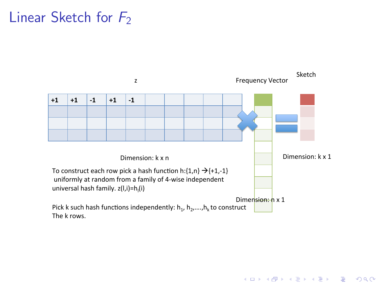

**KORK STRATER STRAKES**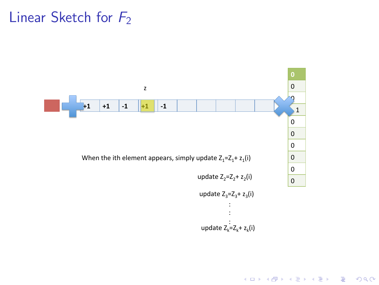

K ロ ▶ K @ ▶ K 할 ▶ K 할 ▶ | 할 | © 9 Q @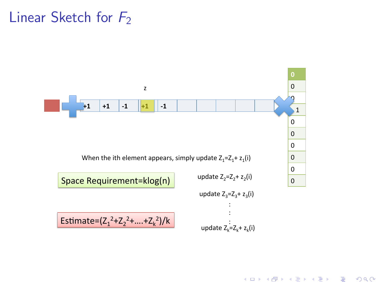

K ロ ▶ K @ ▶ K 할 ▶ K 할 ▶ 이 할 → 9 Q @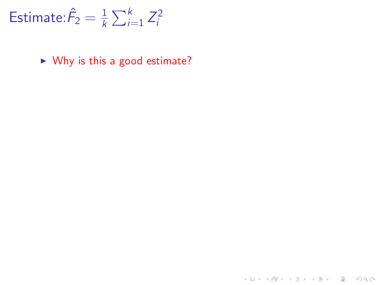$\triangleright$  Why is this a good estimate?

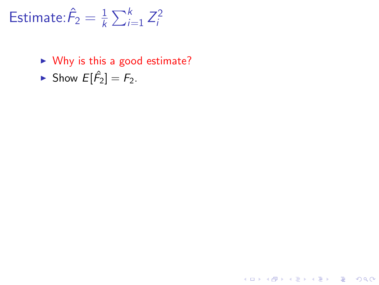$\triangleright$  Why is this a good estimate?

K ロ K K (P) K (E) K (E) X (E) X (P) K (P)

Show  $E[\hat{F}_2] = F_2$ .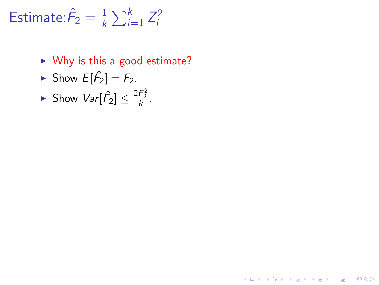$\triangleright$  Why is this a good estimate?

**K ロ ▶ K @ ▶ K 할 X X 할 X → 할 X → 9 Q Q ^** 

- Show  $E[\hat{F}_2] = F_2$ .
- Show  $Var[\hat{F}_2] \leq \frac{2F_2^2}{k}$ .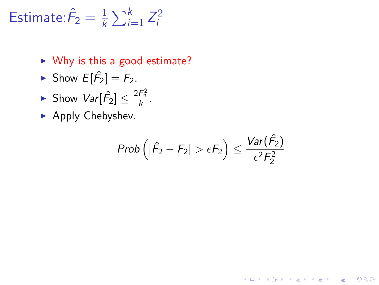- $\triangleright$  Why is this a good estimate?
- Show  $E[\hat{F}_2] = F_2$ .
- Show  $Var[\hat{F}_2] \leq \frac{2F_2^2}{k}$ .
- $\blacktriangleright$  Apply Chebyshev.

$$
Prob\left(|\hat{F}_2 - F_2| > \epsilon F_2\right) \leq \frac{Var(\hat{F}_2)}{\epsilon^2 F_2^2}
$$

K ロ ▶ K @ ▶ K 할 ▶ K 할 ▶ 이 할 → 9 Q @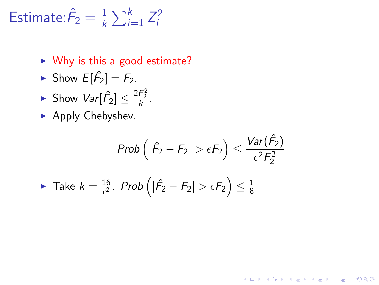- $\triangleright$  Why is this a good estimate?
- Show  $E[\hat{F}_2] = F_2$ .
- Show  $Var[\hat{F}_2] \leq \frac{2F_2^2}{k}$ .
- $\blacktriangleright$  Apply Chebyshev.

$$
Prob\left(|\hat{F}_2 - F_2| > \epsilon F_2\right) \le \frac{Var(\hat{F}_2)}{\epsilon^2 F_2^2}
$$
\n• Take  $k = \frac{16}{\epsilon^2}$ . Prob $\left(|\hat{F}_2 - F_2| > \epsilon F_2\right) \le \frac{1}{8}$ 

K ロ ▶ K @ ▶ K 할 ▶ K 할 ▶ 이 할 → 9 Q @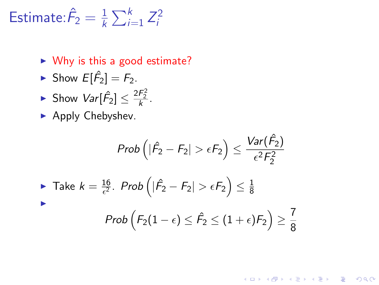- $\triangleright$  Why is this a good estimate?
- Show  $E[\hat{F}_2] = F_2$ .
- Show  $Var[\hat{F}_2] \leq \frac{2F_2^2}{k}$ .
- $\blacktriangleright$  Apply Chebyshev.

$$
Prob\left(|\hat{F}_2 - F_2| > \epsilon F_2\right) \le \frac{Var(\hat{F}_2)}{\epsilon^2 F_2^2}
$$
\nTake  $k = \frac{16}{\epsilon^2}$ .  $Prob\left(|\hat{F}_2 - F_2| > \epsilon F_2\right) \le \frac{1}{8}$ 

\nProb  $\left(F_2(1 - \epsilon) \le \hat{F}_2 \le (1 + \epsilon)F_2\right) \ge \frac{7}{8}$ 

K ロ ▶ K @ ▶ K 할 > K 할 > 1 할 > 1 이익어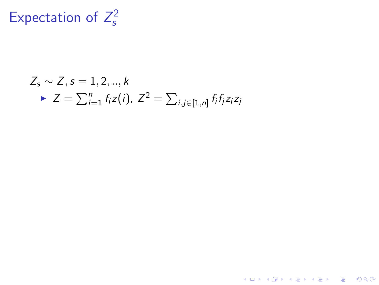## Expectation of  $Z_s^2$ s

$$
Z_s \sim Z, s = 1, 2, ..., k
$$
  
\n
$$
\triangleright Z = \sum_{i=1}^n f_i z(i), Z^2 = \sum_{i,j \in [1,n]} f_i f_j z_i z_j
$$

K ロ ▶ K @ ▶ K 할 ▶ K 할 ▶ ... 할 ... 9 Q Q ·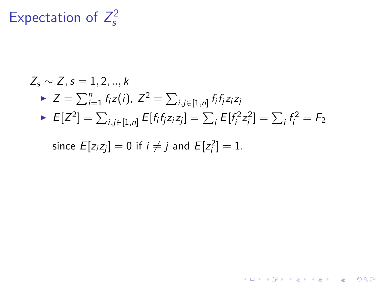### Expectation of  $Z_s^2$ s

$$
Z_s \sim Z, s = 1, 2, ..., k
$$
  
\n
$$
\triangleright Z = \sum_{i=1}^n f_i z(i), Z^2 = \sum_{i,j \in [1,n]} f_i f_j z_i z_j
$$
  
\n
$$
\triangleright E[Z^2] = \sum_{i,j \in [1,n]} E[f_i f_j z_i z_j] = \sum_i E[f_i^2 z_i^2] = \sum_i f_i^2 = F_2
$$
  
\nsince  $E[z_i z_j] = 0$  if  $i \neq j$  and  $E[z_i^2] = 1$ .

K ロ ▶ K @ ▶ K 할 ▶ K 할 ▶ ... 할 ... 9 Q Q ·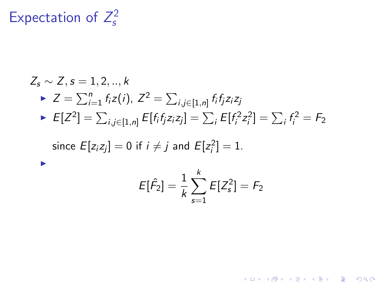### Expectation of  $Z_s^2$ s

$$
Z_s \sim Z, s = 1, 2, ..., k
$$
  
\n
$$
\triangleright Z = \sum_{i=1}^{n} f_i z(i), Z^2 = \sum_{i,j \in [1,n]} f_i f_j z_i z_j
$$
  
\n
$$
\triangleright E[Z^2] = \sum_{i,j \in [1,n]} E[f_i f_j z_i z_j] = \sum_{i} E[f_i^2 z_i^2] = \sum_{i} f_i^2 = F_2
$$
  
\nsince  $E[z_i z_j] = 0$  if  $i \neq j$  and  $E[z_i^2] = 1$ .  
\n
$$
E[\hat{F}_2] = \frac{1}{k} \sum_{s=1}^{k} E[Z_s^2] = F_2
$$

K ロ ▶ K @ ▶ K 할 ▶ K 할 ▶ ... 할 ... 9 Q Q ·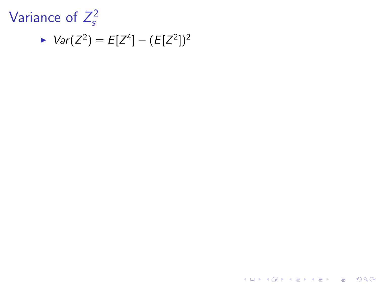

►  $Var(Z^2) = E[Z^4] - (E[Z^2])^2$ 

K ロ ▶ K @ ▶ K 할 ▶ K 할 ▶ | 할 | © 9 Q @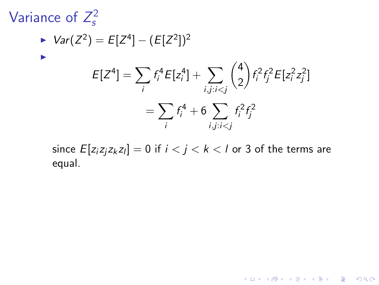## Variance of  $Z_s^2$ s

$$
\begin{aligned} Var(Z^2) &= E[Z^4] - (E[Z^2])^2 \\ E[Z^4] &= \sum_i f_i^4 E[z_i^4] + \sum_{i,j:i
$$

since  ${\it E}[{\it z}_i{\it z}_j{\it z}_k{\it z}_l]=0$  if  $i < j < k < l$  or 3 of the terms are equal.

K ロ ▶ K @ ▶ K 할 ▶ K 할 ▶ | 할 | ⊙Q @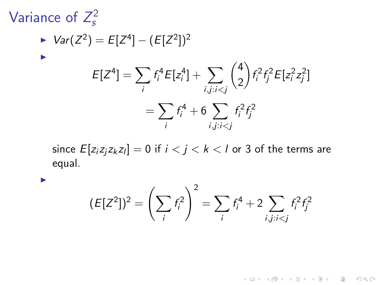## Variance of  $Z_s^2$ s

I

$$
\triangleright \text{Var}(Z^2) = E[Z^4] - (E[Z^2])^2
$$
\n
$$
E[Z^4] = \sum_i f_i^4 E[z_i^4] + \sum_{i,j:i < j} \binom{4}{2} f_i^2 f_j^2 E[z_i^2 z_j^2]
$$
\n
$$
= \sum_i f_i^4 + 6 \sum_{i,j:i < j} f_i^2 f_j^2
$$

since  ${\it E}[{\it z}_i{\it z}_j{\it z}_k{\it z}_l]=0$  if  $i < j < k < l$  or 3 of the terms are equal.

$$
(\mathsf{E}[Z^2])^2 = \left(\sum_i f_i^2\right)^2 = \sum_i f_i^4 + 2\sum_{i,j:i
$$

K ロ X イロ X K ミ X K ミ X ミ → S V Q Q Q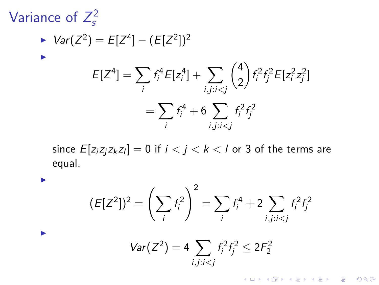## Variance of  $Z_s^2$ s

I

 $\blacktriangleright$ 

$$
\triangleright \text{Var}(Z^2) = E[Z^4] - (E[Z^2])^2
$$
\n
$$
E[Z^4] = \sum_i f_i^4 E[z_i^4] + \sum_{i,j:i\n
$$
= \sum_i f_i^4 + 6 \sum_{i,j:i
$$
$$

since  ${\it E}[{\it z}_i{\it z}_j{\it z}_k{\it z}_l]=0$  if  $i < j < k < l$  or 3 of the terms are equal.

$$
(E[Z2])2 = \left(\sum_{i} f_{i}^{2}\right)^{2} = \sum_{i} f_{i}^{4} + 2 \sum_{i,j:i
$$
Var(Z^{2}) = 4 \sum_{i,j:i
$$
$$

K ロ X イロ X K ミ X K ミ X ミ → S V Q Q Q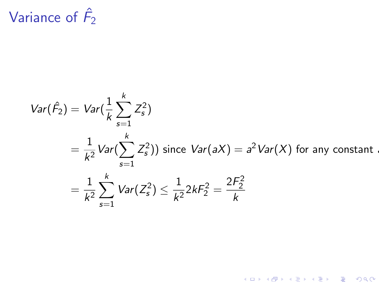# Variance of  $\hat{F}_2$

$$
Var(\hat{F}_2) = Var(\frac{1}{k} \sum_{s=1}^k Z_s^2)
$$
  
=  $\frac{1}{k^2} Var(\sum_{s=1}^k Z_s^2)$  since  $Var(aX) = a^2 Var(X)$  for any constant.  
=  $\frac{1}{k^2} \sum_{s=1}^k Var(Z_s^2) \le \frac{1}{k^2} 2kF_2^2 = \frac{2F_2^2}{k}$ 

K ロ ▶ K @ ▶ K 할 ▶ K 할 ▶ 이 할 → 9 Q @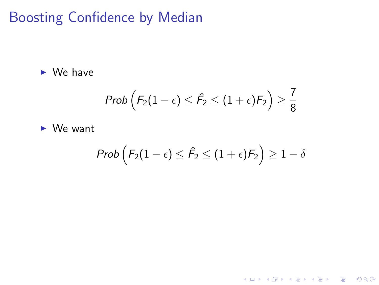Boosting Confidence by Median

 $\triangleright$  We have

$$
\textit{Prob}\left(F_2(1-\epsilon) \leq \hat{F_2} \leq (1+\epsilon)F_2\right) \geq \frac{7}{8}
$$

 $\triangleright$  We want

$$
\textit{Prob}\left(F_2(1-\epsilon) \leq \hat{F_2} \leq (1+\epsilon)F_2\right) \geq 1-\delta
$$

K ロ ▶ K @ ▶ K 할 ▶ K 할 ▶ | 할 | ⊙Q @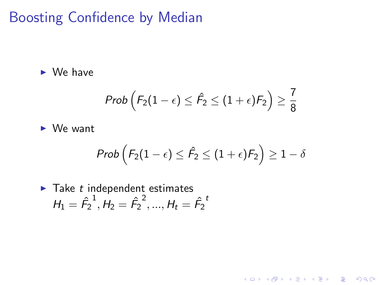# Boosting Confidence by Median

 $\triangleright$  We have

$$
\textit{Prob}\left(F_2(1-\epsilon) \leq \hat{F_2} \leq (1+\epsilon)F_2\right) \geq \frac{7}{8}
$$

 $\triangleright$  We want

$$
\mathit{Prob}\left(F_2(1-\epsilon) \leq \hat{F_2} \leq (1+\epsilon)F_2\right) \geq 1-\delta
$$

K ロ ▶ K @ ▶ K 할 ▶ K 할 ▶ | 할 | ⊙Q @

► Take *t* independent estimates  

$$
H_1 = \hat{F}_2^{-1}, H_2 = \hat{F}_2^{-2}, ..., H_t = \hat{F}_2^{-t}
$$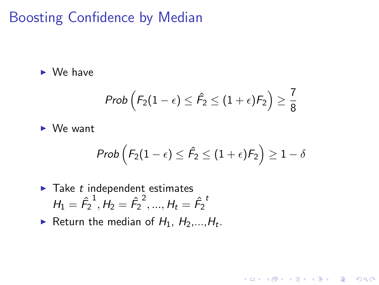## Boosting Confidence by Median

 $\triangleright$  We have

$$
\textit{Prob}\left(F_2(1-\epsilon) \leq \hat{F_2} \leq (1+\epsilon)F_2\right) \geq \frac{7}{8}
$$

 $\triangleright$  We want

$$
\text{Prob}\left(F_2(1-\epsilon) \leq \hat{F_2} \leq (1+\epsilon)F_2\right) \geq 1-\delta
$$

K ロ K K (P) K (E) K (E) X (E) X (P) K (P)

► Take *t* independent estimates  

$$
H_1 = \hat{F}_2^{-1}, H_2 = \hat{F}_2^{-2}, ..., H_t = \hat{F}_2^{-t}
$$

Return the median of  $H_1$ ,  $H_2$ ,..., $H_t$ .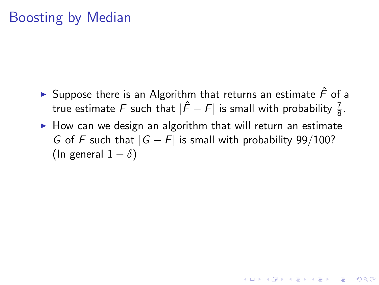- ► Suppose there is an Algorithm that returns an estimate  $\hat{F}$  of a true estimate  $F$  such that  $|\hat{F} - F|$  is small with probability  $\frac{7}{8}$ .
- $\triangleright$  How can we design an algorithm that will return an estimate G of F such that  $|G - F|$  is small with probability 99/100? (In general  $1 - \delta$ )

**KORKAR KERKER EL VOLO**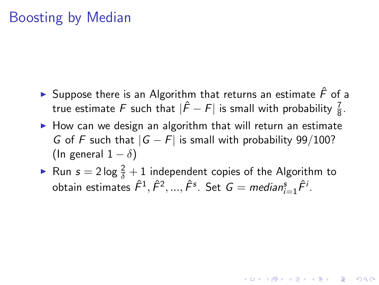- ► Suppose there is an Algorithm that returns an estimate  $\hat{F}$  of a true estimate  $F$  such that  $|\hat{F} - F|$  is small with probability  $\frac{7}{8}$ .
- $\triangleright$  How can we design an algorithm that will return an estimate G of F such that  $|G - F|$  is small with probability 99/100? (In general  $1 - \delta$ )
- Run  $s = 2 \log \frac{2}{\delta} + 1$  independent copies of the Algorithm to obtain estimates  $\hat{F}^1, \hat{F}^2, ..., \hat{F}^s$ . Set  $G = \textit{median}_{i=1}^s \hat{F}^i$ .

**AD A 4 4 4 5 A 5 A 5 A 4 D A 4 D A 4 P A 4 5 A 4 5 A 5 A 4 A 4 A 4 A**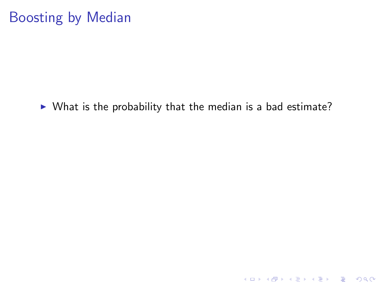$\triangleright$  What is the probability that the median is a bad estimate?

K ロ ▶ K @ ▶ K 할 ▶ K 할 ▶ | 할 | ⊙Q @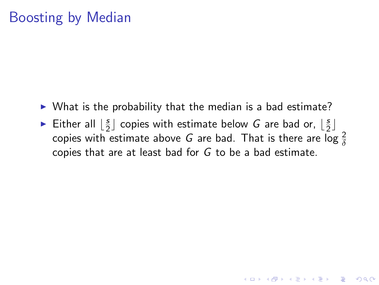- $\triangleright$  What is the probability that the median is a bad estimate?
- Either all  $\left\lfloor \frac{s}{2} \right\rfloor$  $\frac{s}{2}$  copies with estimate below G are bad or,  $\lfloor \frac{s}{2} \rfloor$  $rac{5}{2}$ copies with estimate above  $G$  are bad. That is there are log  $\frac{2}{\delta}$ copies that are at least bad for G to be a bad estimate.

K ロ ▶ K @ ▶ K 할 > K 할 > 1 할 > 1 이익어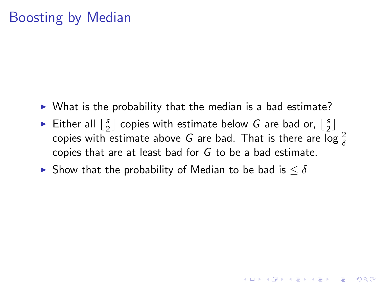- $\triangleright$  What is the probability that the median is a bad estimate?
- Either all  $\left\lfloor \frac{s}{2} \right\rfloor$  $\frac{s}{2}$  copies with estimate below G are bad or,  $\lfloor \frac{s}{2} \rfloor$  $rac{5}{2}$ copies with estimate above  $G$  are bad. That is there are log  $\frac{2}{\delta}$ copies that are at least bad for G to be a bad estimate.

**K ロ ▶ K @ ▶ K 할 X X 할 X → 할 X → 9 Q Q ^** 

► Show that the probability of Median to be bad is  $\leq \delta$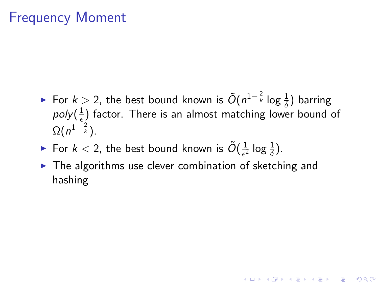► For  $k > 2$ , the best bound known is  $\tilde{O}(n^{1-\frac{2}{k}} \log \frac{1}{\delta})$  barring poly $(\frac{1}{\epsilon}$  $\frac{1}{\epsilon}$ ) factor. There is an almost matching lower bound of  $\Omega(n^{1-\frac{2}{k}}).$ 

**KORKAR KERKER EL VOLO** 

- For  $k < 2$ , the best bound known is  $\tilde{O}(\frac{1}{\epsilon^2})$  $\frac{1}{\epsilon^2}$  log  $\frac{1}{\delta}$ ).
- $\blacktriangleright$  The algorithms use clever combination of sketching and hashing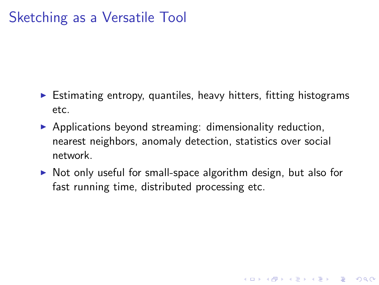## Sketching as a Versatile Tool

- $\triangleright$  Estimating entropy, quantiles, heavy hitters, fitting histograms etc.
- $\triangleright$  Applications beyond streaming: dimensionality reduction, nearest neighbors, anomaly detection, statistics over social network.
- $\triangleright$  Not only useful for small-space algorithm design, but also for fast running time, distributed processing etc.

**KORK ERKER ADE YOUR**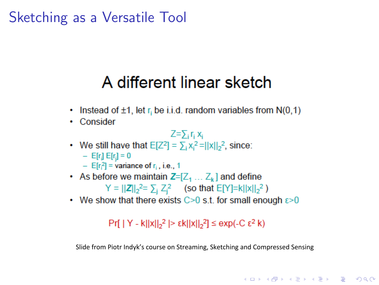## Sketching as a Versatile Tool

# A different linear sketch

- Instead of  $\pm 1$ , let r<sub>i</sub> be i.i.d. random variables from  $N(0,1)$
- Consider

$$
Z = \sum_i r_i x_i
$$

- We still have that  $E[Z^2] = \sum_i x_i^2 = ||x||_2^2$ , since:  $-$  E[r,] E[r,] = 0  $-$  E[r,<sup>2</sup>] = variance of r<sub>i</sub>, i.e., 1
- As before we maintain  $Z=[Z_1 \dots Z_k]$  and define  $Y = ||Z||_2^2 = \sum_i Z_i^2$  (so that E[Y]=k||x||<sub>2</sub><sup>2</sup>)
- We show that there exists  $C>0$  s.t. for small enough  $\varepsilon>0$

## $Pr[ | Y - k| |x| |<sub>2</sub><sup>2</sup> | > εk| |x| |<sub>2</sub><sup>2</sup>] ≤ exp(-C ε<sup>2</sup> k)$

Slide from Piotr Indyk's course on Streaming, Sketching and Compressed Sensing

**KORK ERKER ADE YOUR**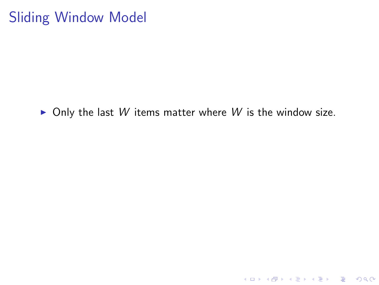## Sliding Window Model

 $\triangleright$  Only the last W items matter where W is the window size.

K ロ ▶ K @ ▶ K 할 ▶ K 할 ▶ | 할 | ⊙Q @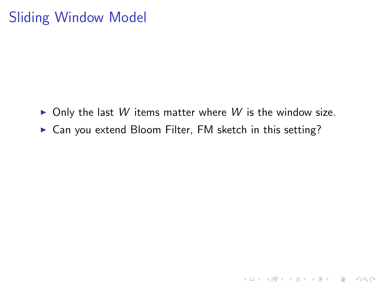## Sliding Window Model

 $\triangleright$  Only the last W items matter where W is the window size.

K ロ ▶ K @ ▶ K 할 > K 할 > 1 할 > 1 이익어

 $\triangleright$  Can you extend Bloom Filter, FM sketch in this setting?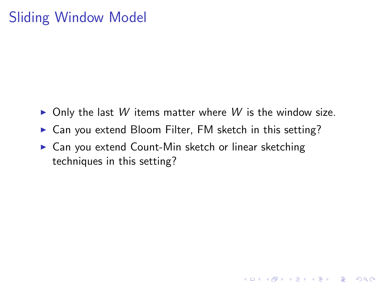## Sliding Window Model

 $\triangleright$  Only the last W items matter where W is the window size.

K ロ ▶ K @ ▶ K 할 > K 할 > 1 할 > 1 이익어

- $\triangleright$  Can you extend Bloom Filter, FM sketch in this setting?
- $\triangleright$  Can you extend Count-Min sketch or linear sketching techniques in this setting?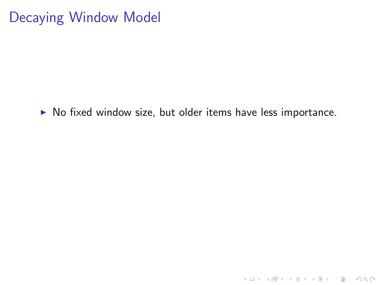## Decaying Window Model

 $\triangleright$  No fixed window size, but older items have less importance.

K ロ K K (P) K (E) K (E) X (E) X (P) K (P)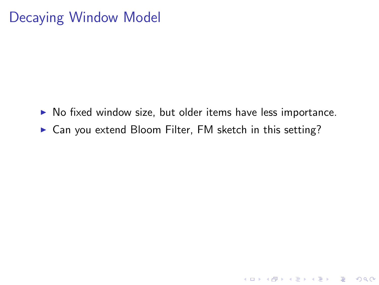# Decaying Window Model

 $\triangleright$  No fixed window size, but older items have less importance.

K ロ ▶ K @ ▶ K 할 > K 할 > 1 할 > 1 이익어

 $\triangleright$  Can you extend Bloom Filter, FM sketch in this setting?